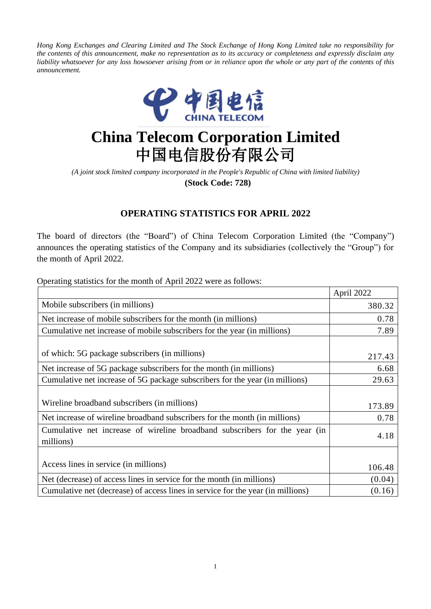Hong Kong Exchanges and Clearing Limited and The Stock Exchange of Hong Kong Limited take no responsibility for the contents of this announcement, make no representation as to its accuracy or completeness and expressly disclaim any liability whatsoever for any loss howsoever arising from or in reliance upon the whole or any part of the contents of this *announcement.*



## **China Telecom Corporation Limited** 中国电信股份有限公司

*(A joint stock limited company incorporated in the People's Republic of China with limited liability)* **(Stock Code: 728)**

## **OPERATING STATISTICS FOR APRIL 2022**

The board of directors (the "Board") of China Telecom Corporation Limited (the "Company") announces the operating statistics of the Company and its subsidiaries (collectively the "Group") for the month of April 2022.

Operating statistics for the month of April 2022 were as follows:

|                                                                                         | April 2022 |
|-----------------------------------------------------------------------------------------|------------|
| Mobile subscribers (in millions)                                                        | 380.32     |
| Net increase of mobile subscribers for the month (in millions)                          | 0.78       |
| Cumulative net increase of mobile subscribers for the year (in millions)                | 7.89       |
| of which: 5G package subscribers (in millions)                                          | 217.43     |
| Net increase of 5G package subscribers for the month (in millions)                      | 6.68       |
| Cumulative net increase of 5G package subscribers for the year (in millions)            | 29.63      |
| Wireline broadband subscribers (in millions)                                            | 173.89     |
| Net increase of wireline broadband subscribers for the month (in millions)              | 0.78       |
| Cumulative net increase of wireline broadband subscribers for the year (in<br>millions) | 4.18       |
|                                                                                         |            |
| Access lines in service (in millions)                                                   | 106.48     |
| Net (decrease) of access lines in service for the month (in millions)                   | (0.04)     |
| Cumulative net (decrease) of access lines in service for the year (in millions)         | (0.16)     |